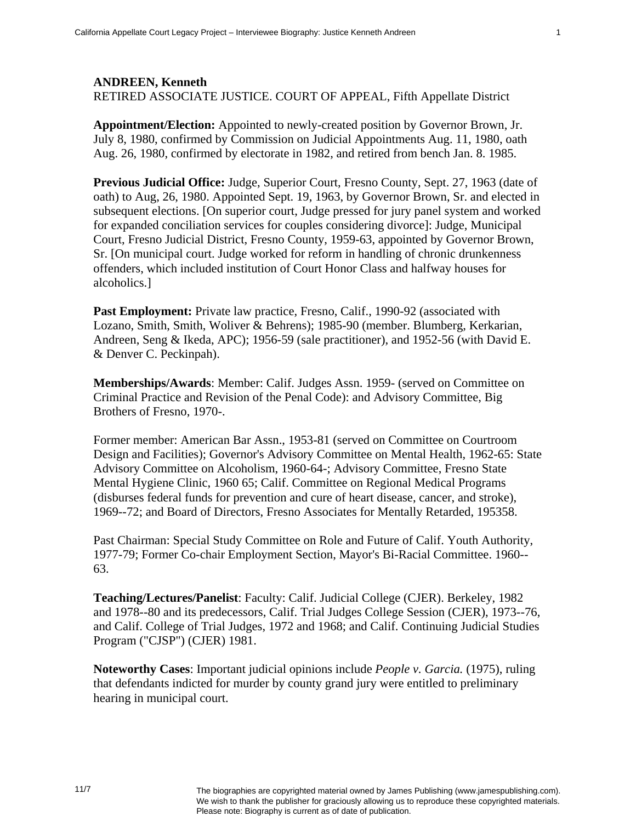## **ANDREEN, Kenneth**  RETIRED ASSOCIATE JUSTICE. COURT OF APPEAL, Fifth Appellate District

**Appointment/Election:** Appointed to newly-created position by Governor Brown, Jr. July 8, 1980, confirmed by Commission on Judicial Appointments Aug. 11, 1980, oath Aug. 26, 1980, confirmed by electorate in 1982, and retired from bench Jan. 8. 1985.

**Previous Judicial Office:** Judge, Superior Court, Fresno County, Sept. 27, 1963 (date of oath) to Aug, 26, 1980. Appointed Sept. 19, 1963, by Governor Brown, Sr. and elected in subsequent elections. [On superior court, Judge pressed for jury panel system and worked for expanded conciliation services for couples considering divorce]: Judge, Municipal Court, Fresno Judicial District, Fresno County, 1959-63, appointed by Governor Brown, Sr. [On municipal court. Judge worked for reform in handling of chronic drunkenness offenders, which included institution of Court Honor Class and halfway houses for alcoholics.]

**Past Employment:** Private law practice, Fresno, Calif., 1990-92 (associated with Lozano, Smith, Smith, Woliver & Behrens); 1985-90 (member. Blumberg, Kerkarian, Andreen, Seng & Ikeda, APC); 1956-59 (sale practitioner), and 1952-56 (with David E. & Denver C. Peckinpah).

**Memberships/Awards**: Member: Calif. Judges Assn. 1959- (served on Committee on Criminal Practice and Revision of the Penal Code): and Advisory Committee, Big Brothers of Fresno, 1970-.

Former member: American Bar Assn., 1953-81 (served on Committee on Courtroom Design and Facilities); Governor's Advisory Committee on Mental Health, 1962-65: State Advisory Committee on Alcoholism, 1960-64-; Advisory Committee, Fresno State Mental Hygiene Clinic, 1960 65; Calif. Committee on Regional Medical Programs (disburses federal funds for prevention and cure of heart disease, cancer, and stroke), 1969--72; and Board of Directors, Fresno Associates for Mentally Retarded, 195358.

Past Chairman: Special Study Committee on Role and Future of Calif. Youth Authority, 1977-79; Former Co-chair Employment Section, Mayor's Bi-Racial Committee. 1960-- 63.

**Teaching/Lectures/Panelist**: Faculty: Calif. Judicial College (CJER). Berkeley, 1982 and 1978--80 and its predecessors, Calif. Trial Judges College Session (CJER), 1973--76, and Calif. College of Trial Judges, 1972 and 1968; and Calif. Continuing Judicial Studies Program ("CJSP") (CJER) 1981.

**Noteworthy Cases**: Important judicial opinions include *People v. Garcia.* (1975), ruling that defendants indicted for murder by county grand jury were entitled to preliminary hearing in municipal court.